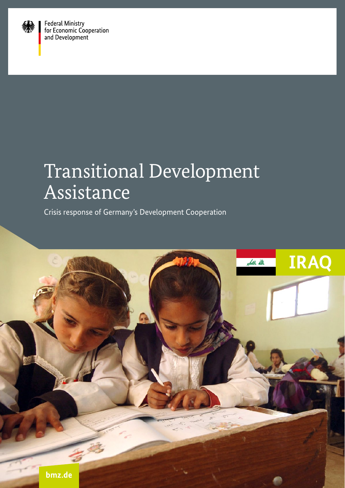

Federal Ministry<br>for Economic Cooperation<br>and Development

# Transitional Development Assistance

Crisis response of Germany's Development Cooperation

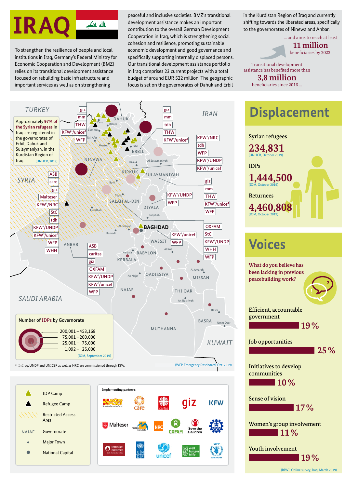

institutions in Iraq, Germany's Federal Ministry for Economic Cooperation and Development (BMZ) relies on its transitional development assistance focused on rebuilding basic infrastructure and important services as well as on strengthening

To strengthen the resilience of people and local economic development and good governance and beneficiaries by 2023. peaceful and inclusive societies. BMZ's transitional development assistance makes an important contribution to the overall German Development Cooperation in Iraq, which is strengthening social cohesion and resilience, promoting sustainable specifically supporting internally displaced persons. Our transitional development assistance portfolio in Iraq comprises 23 current projects with a total budget of around EUR 522 million. The geographic focus is set on the governorates of Dahuk and Erbil

in the Kurdistan Region of Iraq and currently shifting towards the liberated areas, specifically to the governorates of Ninewa and Anbar.

> … and aims to reach at least **11 million**<br>beneficiaries by 2023.

Transitional development assistance has benefited more than **3,8 million**

beneficiaries since 2016 …







## **Voices**

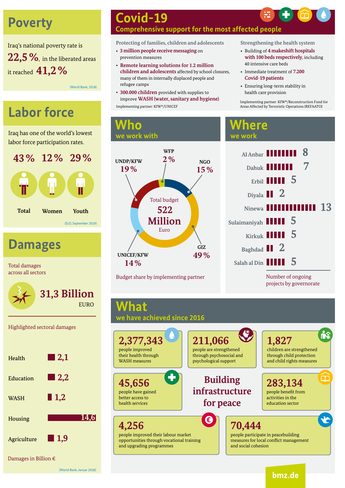## **Poverty**

Iraq's national poverty rate is **22,5%**, in the liberated areas it reached **41,2%**

(World Bank, 2018)

## **Labor force**

Iraq has one of the world's lowest labor force participation rates.



**Damages**

Total damages across all sectors



Highlighted sectoral damages



### **Covid-19 Comprehensive support for the most affected people**

**Protecting of families, children and adolescents** 

- **3 million people receive messaging** on prevention measures
- **Remote learning solutions for 1.2 million children and adolescents** affected by school closures, many of them in internally displaced people and refugee camps
- **300.000 children** provided with supplies to improve **WASH (water, sanitary and hygiene)** Implementing partner: KfW\*/Reconstruction Fund for

**Strengthening the health system**

- Building of **4 makeshift hospitals with 100 beds respectively**, including 40 intensive care beds
- Immediate treatment of **7.200 Covid-19 patients**
- Ensuring long-term stability in health care provision

Areas Affected by Terroristic Operations (REFAATO)

### **Who we work with**



Budget share by implementing partner

### **Where we work**



projects by governorate